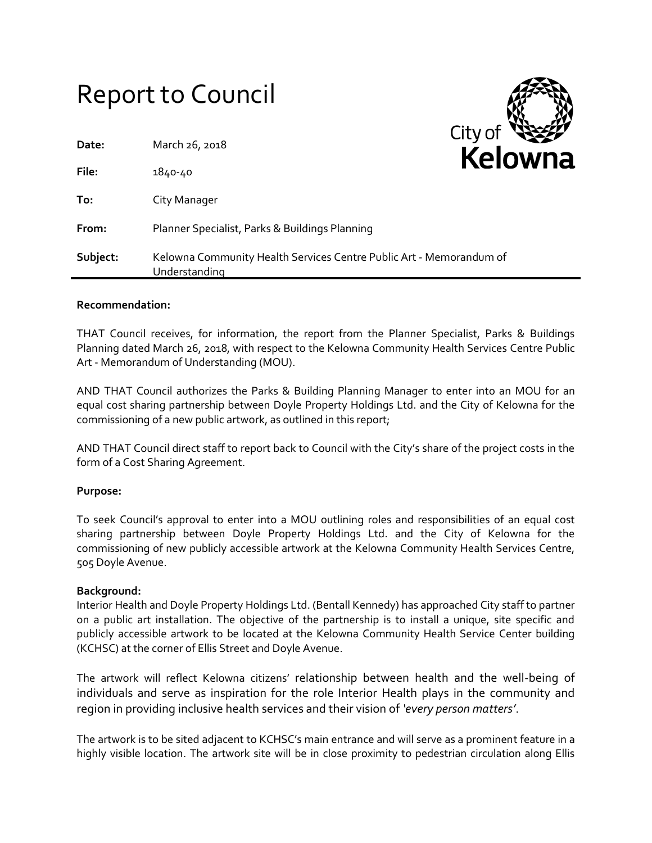# Report to Council

| Date:    | March 26, 2018                                                                       | <u>City Ui</u><br>Kelo |
|----------|--------------------------------------------------------------------------------------|------------------------|
| File:    | 1840-40                                                                              |                        |
| To:      | City Manager                                                                         |                        |
| From:    | Planner Specialist, Parks & Buildings Planning                                       |                        |
| Subject: | Kelowna Community Health Services Centre Public Art - Memorandum of<br>Understanding |                        |

## **Recommendation:**

THAT Council receives, for information, the report from the Planner Specialist, Parks & Buildings Planning dated March 26, 2018, with respect to the Kelowna Community Health Services Centre Public Art - Memorandum of Understanding (MOU).

 $C$ ity of

AND THAT Council authorizes the Parks & Building Planning Manager to enter into an MOU for an equal cost sharing partnership between Doyle Property Holdings Ltd. and the City of Kelowna for the commissioning of a new public artwork, as outlined in this report;

AND THAT Council direct staff to report back to Council with the City's share of the project costs in the form of a Cost Sharing Agreement.

#### **Purpose:**

To seek Council's approval to enter into a MOU outlining roles and responsibilities of an equal cost sharing partnership between Doyle Property Holdings Ltd. and the City of Kelowna for the commissioning of new publicly accessible artwork at the Kelowna Community Health Services Centre, 505 Doyle Avenue.

#### **Background:**

Interior Health and Doyle Property Holdings Ltd. (Bentall Kennedy) has approached City staff to partner on a public art installation. The objective of the partnership is to install a unique, site specific and publicly accessible artwork to be located at the Kelowna Community Health Service Center building (KCHSC) at the corner of Ellis Street and Doyle Avenue.

The artwork will reflect Kelowna citizens' relationship between health and the well-being of individuals and serve as inspiration for the role Interior Health plays in the community and region in providing inclusive health services and their vision of *'every person matters'*.

The artwork is to be sited adjacent to KCHSC's main entrance and will serve as a prominent feature in a highly visible location. The artwork site will be in close proximity to pedestrian circulation along Ellis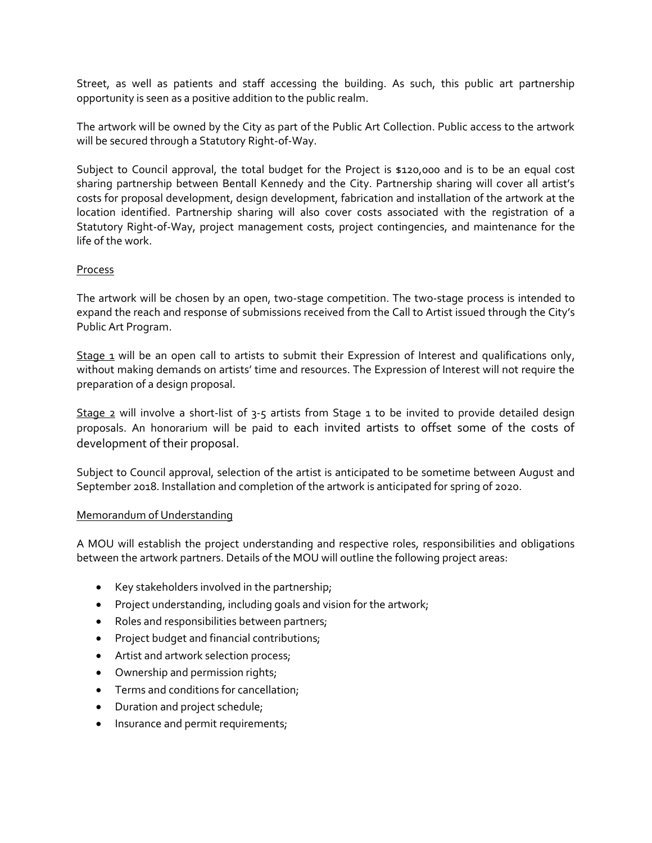Street, as well as patients and staff accessing the building. As such, this public art partnership opportunity is seen as a positive addition to the public realm.

The artwork will be owned by the City as part of the Public Art Collection. Public access to the artwork will be secured through a Statutory Right-of-Way.

Subject to Council approval, the total budget for the Project is \$120,000 and is to be an equal cost sharing partnership between Bentall Kennedy and the City. Partnership sharing will cover all artist's costs for proposal development, design development, fabrication and installation of the artwork at the location identified. Partnership sharing will also cover costs associated with the registration of a Statutory Right-of-Way, project management costs, project contingencies, and maintenance for the life of the work.

# Process

The artwork will be chosen by an open, two-stage competition. The two-stage process is intended to expand the reach and response of submissions received from the Call to Artist issued through the City's Public Art Program.

Stage 1 will be an open call to artists to submit their Expression of Interest and qualifications only, without making demands on artists' time and resources. The Expression of Interest will not require the preparation of a design proposal.

Stage 2 will involve a short-list of  $3$ -5 artists from Stage 1 to be invited to provide detailed design proposals. An honorarium will be paid to each invited artists to offset some of the costs of development of their proposal.

Subject to Council approval, selection of the artist is anticipated to be sometime between August and September 2018. Installation and completion of the artwork is anticipated for spring of 2020.

## Memorandum of Understanding

A MOU will establish the project understanding and respective roles, responsibilities and obligations between the artwork partners. Details of the MOU will outline the following project areas:

- Key stakeholders involved in the partnership;
- Project understanding, including goals and vision for the artwork;
- Roles and responsibilities between partners;
- Project budget and financial contributions;
- Artist and artwork selection process;
- Ownership and permission rights;
- **•** Terms and conditions for cancellation;
- Duration and project schedule;
- Insurance and permit requirements;